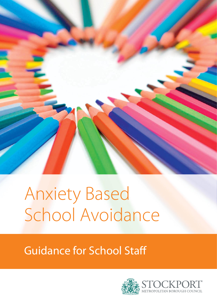

# Anxiety Based School Avoidance

# Guidance for School Staff

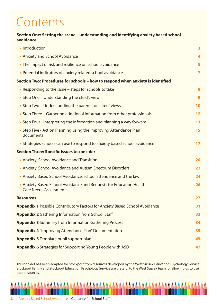# Contents

#### **Section One: Setting the scene – understanding and identifying anxiety based school avoidance**

| • Introduction                                                                                      | 3              |
|-----------------------------------------------------------------------------------------------------|----------------|
| • Anxiety and School Avoidance                                                                      | 4              |
| • The impact of risk and resilience on school avoidance                                             | 5              |
| • Potential indicators of anxiety related school avoidance                                          | $\overline{ }$ |
| Section Two: Procedures for schools – how to respond when anxiety is identified                     |                |
| • Responding to the issue – steps for schools to take                                               | 8              |
| • Step One – Understanding the child's view                                                         | 9              |
| • Step Two – Understanding the parents' or carers' views                                            | 10             |
| • Step Three – Gathering additional information from other professionals                            | 12             |
| • Step Four - Interpreting the information and planning a way forward                               | 13             |
| • Step Five - Action Planning using the Improving Attendance Plan<br>documents                      | 15             |
| • Strategies schools can use to respond to anxiety based school avoidance                           | 17             |
| <b>Section Three: Specific issues to consider</b>                                                   |                |
| • Anxiety, School Avoidance and Transition                                                          | 20             |
| • Anxiety, School Avoidance and Autism Spectrum Disorders                                           | 22             |
| • Anxiety Based School Avoidance, school attendance and the law                                     | 24             |
| • Anxiety Based School Avoidance and Requests for Education Health<br><b>Care Needs Assessments</b> | 26             |
| <b>Resources</b>                                                                                    | 27             |
| <b>Appendix 1</b> Possible Contributory Factors for Anxiety Based School Avoidance                  | 31             |
| <b>Appendix 2 Gathering Information from School Staff</b>                                           | 32             |
| <b>Appendix 3 Summary from Information Gathering Process</b>                                        | 34             |
| <b>Appendix 4</b> "Improving Attendance Plan" Documentation                                         | 35             |
| <b>Appendix 5</b> Template pupil support plan                                                       | 45             |
| <b>Appendix 6</b> Strategies for Supporting Young People with ASD                                   | 47             |

This booklet has been adapted for Stockport from resources developed by the West Sussex Education Psychology Service. Stockport Family and Stockport Education Psychology Service are grateful to the West Sussex team for allowing us to use their resources.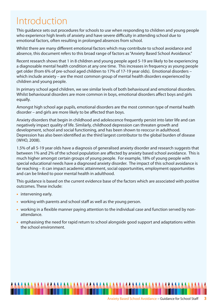# Introduction

This guidance sets out procedures for schools to use when responding to children and young people who experience high levels of anxiety and have severe difficulty in attending school due to emotional factors, often resulting in prolonged absences from school.

Whilst there are many different emotional factors which may contribute to school avoidance and absence, this document refers to this broad range of factors as "Anxiety Based School Avoidance."

Recent research shows that 1 in 8 children and young people aged 5-19 are likely to be experiencing a diagnosable mental health condition at any one time. This increases in frequency as young people get older (from 6% of pre-school aged children to 17% of 17-19 year olds). Emotional disorders – which include anxiety – are the most common group of mental health disorders experienced by children and young people.

In primary school aged children, we see similar levels of both behavioural and emotional disorders. Whilst behavioural disorders are more common in boys, emotional disorders affect boys and girls equally.

Amongst high school age pupils, emotional disorders are the most common type of mental health disorder – and girls are more likely to be affected than boys.

Anxiety disorders that begin in childhood and adolescence frequently persist into later life and can negatively impact quality of life. Similarly, childhood depression can threaten growth and development, school and social functioning, and has been shown to reoccur in adulthood. Depression has also been identified as the third largest contributor to the global burden of disease (WHO, 2008).

1.5% of all 5-19 year olds have a diagnosis of generalised anxiety disorder and research suggests that between 1% and 2% of the school population are affected by anxiety based school avoidance. This is much higher amongst certain groups of young people. For example, 18% of young people with special educational needs have a diagnosed anxiety disorder. The impact of this school avoidance is far reaching – it can impact academic attainment, social opportunities, employment opportunities and can be linked to poor mental health in adulthood.

This guidance is based on the current evidence base of the factors which are associated with positive outcomes. These include:

- **•** intervening early.
- **•** working with parents and school staff as well as the young person.
- **•** working in a flexible manner paying attention to the individual case and function served by nonattendance.
- **•** emphasising the need for rapid return to school alongside good support and adaptations within the school environment.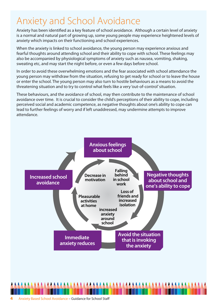# Anxiety and School Avoidance

Anxiety has been identified as a key feature of school avoidance. Although a certain level of anxiety is a normal and natural part of growing up, some young people may experience heightened levels of anxiety which impacts on their functioning and school experiences.

When the anxiety is linked to school avoidance, the young person may experience anxious and fearful thoughts around attending school and their ability to cope with school. These feelings may also be accompanied by physiological symptoms of anxiety such as nausea, vomiting, shaking, sweating etc, and may start the night before, or even a few days before school.

In order to avoid these overwhelming emotions and the fear associated with school attendance the young person may withdraw from the situation, refusing to get ready for school or to leave the house or enter the school. The young person may also turn to hostile behaviours as a means to avoid the threatening situation and to try to control what feels like a very 'out-of-control' situation.

These behaviours, and the avoidance of school, may then contribute to the maintenance of school avoidance over time. It is crucial to consider the child's perceptions of their ability to cope, including perceived social and academic competence, as negative thoughts about one's ability to cope can lead to further feelings of worry and if left unaddressed, may undermine attempts to improve attendance.

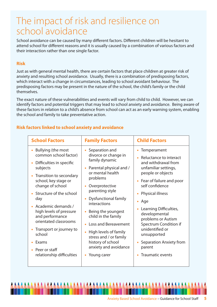# The impact of risk and resilience on school avoidance

School avoidance can be caused by many different factors. Different children will be hesitant to attend school for different reasons and it is usually caused by a combination of various factors and their interaction rather than one single factor.

#### **Risk**

Just as with general mental health, there are certain factors that place children at greater risk of anxiety and resulting school avoidance. Usually, there is a combination of predisposing factors, which interact with a change in circumstances, leading to school avoidant behaviour. The predisposing factors may be present in the nature of the school, the child's family or the child themselves.

The exact nature of these vulnerabilities and events will vary from child to child. However, we can identify factors and potential triggers that may lead to school anxiety and avoidance. Being aware of these factors in relation to a child's absence from school can act as an early warning system, enabling the school and family to take preventative action.

#### **Risk factors linked to school anxiety and avoidance**

| Bullying (the most<br>Separation and<br>Temperament<br>common school factor)<br>divorce or change in<br>Reluctance to interact<br>family dynamic<br>and withdrawal from<br>Difficulties in specific<br>subjects<br>Parental physical and /<br>unfamiliar settings,<br>$\bullet$<br>or mental health<br>people or objects<br>Transition to secondary<br>problems<br>school, key stage or<br>• Fear of failure and poor<br>self confidence<br>change of school<br>Overprotective<br>$\bullet$<br>parenting style<br>Structure of the school<br><b>Physical illness</b><br><b>Dysfunctional family</b><br>day<br>$\bullet$<br>Age<br>interactions<br>Academic demands /<br>Learning Difficulties,<br>high levels of pressure<br>Being the youngest<br>developmental<br>and performance<br>child in the family<br>problems or Autism<br>orientated classrooms<br><b>Loss and Bereavement</b><br>Spectrum Condition if<br>unidentified or<br>Transport or journey to<br>High levels of family<br>school<br>unsupported<br>stress and / or family<br>history of school<br>Separation Anxiety from<br>Exams | <b>School Factors</b> | <b>Family Factors</b> | <b>Child Factors</b> |
|------------------------------------------------------------------------------------------------------------------------------------------------------------------------------------------------------------------------------------------------------------------------------------------------------------------------------------------------------------------------------------------------------------------------------------------------------------------------------------------------------------------------------------------------------------------------------------------------------------------------------------------------------------------------------------------------------------------------------------------------------------------------------------------------------------------------------------------------------------------------------------------------------------------------------------------------------------------------------------------------------------------------------------------------------------------------------------------------------|-----------------------|-----------------------|----------------------|
| relationship difficulties<br><b>Traumatic events</b><br>Young carer                                                                                                                                                                                                                                                                                                                                                                                                                                                                                                                                                                                                                                                                                                                                                                                                                                                                                                                                                                                                                                  | • Peer or staff       | anxiety and avoidance | parent               |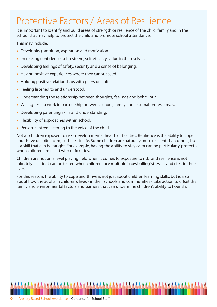# Protective Factors / Areas of Resilience

It is important to identify and build areas of strength or resilience of the child, family and in the school that may help to protect the child and promote school attendance.

This may include:

- **•** Developing ambition, aspiration and motivation.
- **•** Increasing confidence, self-esteem, self-efficacy, value in themselves.
- **•** Developing feelings of safety, security and a sense of belonging.
- **•** Having positive experiences where they can succeed.
- **•** Holding positive relationships with peers or staff.
- **•** Feeling listened to and understood.
- **•** Understanding the relationship between thoughts, feelings and behaviour.
- **•** Willingness to work in partnership between school, family and external professionals.
- **•** Developing parenting skills and understanding.
- **•** Flexibility of approaches within school.
- **•** Person-centred listening to the voice of the child.

Not all children exposed to risks develop mental health difficulties. Resilience is the ability to cope and thrive despite facing setbacks in life. Some children are naturally more resilient than others, but it is a skill that can be taught. For example, having the ability to stay calm can be particularly 'protective' when children are faced with difficulties.

Children are not on a level playing field when it comes to exposure to risk, and resilience is not infinitely elastic. It can be tested when children face multiple 'snowballing' stresses and risks in their lives.

For this reason, the ability to cope and thrive is not just about children learning skills, but is also about how the adults in children's lives - in their schools and communities - take action to offset the family and environmental factors and barriers that can undermine children's ability to flourish.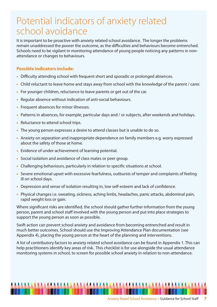# Potential indicators of anxiety related school avoidance

It is important to be proactive with anxiety related school avoidance. The longer the problems remain unaddressed the poorer the outcome, as the difficulties and behaviours become entrenched. Schools need to be vigilant in monitoring attendance of young people noticing any patterns in nonattendance or changes to behaviours.

#### **Possible indicators include:**

- **•** Difficulty attending school with frequent short and sporadic or prolonged absences.
- **•** Child reluctant to leave home and stays away from school with the knowledge of the parent / carer.
- **•** For younger children, reluctance to leave parents or get out of the car.
- **•** Regular absence without indication of anti-social behaviours.
- **•** Frequent absences for minor illnesses.
- **•** Patterns in absences, for example, particular days and / or subjects, after weekends and holidays.
- **•** Reluctance to attend school trips.
- **•** The young person expresses a desire to attend classes but is unable to do so.
- **•** Anxiety on separation and inappropriate dependence on family members e.g. worry expressed about the safety of those at home.
- **•** Evidence of under-achievement of learning potential.
- **•** Social isolation and avoidance of class mates or peer group.
- **•** Challenging behaviours, particularly in relation to specific situations at school.
- **•** Severe emotional upset with excessive fearfulness, outbursts of temper and complaints of feeling ill on school days.
- **•** Depression and sense of isolation resulting in, low self-esteem and lack of confidence.
- **•** Physical changes i.e. sweating, sickness, aching limbs, headaches, panic attacks, abdominal pain, rapid weight loss or gain.

Where significant risks are identified, the school should gather further information from the young person, parent and school staff involved with the young person and put into place strategies to support the young person as soon as possible.

Swift action can prevent school anxiety and avoidance from becoming entrenched and result in much better outcomes. School should use the Improving Attendance Plan documentation (see Appendix 4), placing the young person at the heart of the planning and interventions.

A list of contributory factors to anxiety related school avoidance can be found in Appendix 1. This can help practitioners identify key areas of risk. This checklist is for use alongside the usual attendance monitoring systems in school, to screen for possible school anxiety in relation to non-attendance.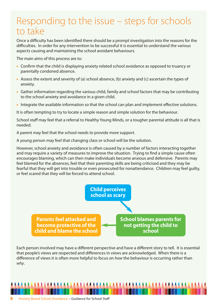# Responding to the issue – steps for schools to take

Once a difficulty has been identified there should be a prompt investigation into the reasons for the difficulties. In order for any intervention to be successful it is essential to understand the various aspects causing and maintaining the school avoidant behaviours.

The main aims of this process are to:

- **•** Confirm that the child is displaying anxiety related school avoidance as opposed to truancy or parentally condoned absence.
- **•** Assess the extent and severity of (a) school absence, (b) anxiety and (c) ascertain the types of anxiety.
- **•** Gather information regarding the various child, family and school factors that may be contributing to the school anxiety and avoidance in a given child.
- **•** Integrate the available information so that the school can plan and implement effective solutions.

It is often tempting to try to locate a simple reason and simple solution for the behaviour.

School staff may feel that a referral to Healthy Young Minds, or a tougher parental attitude is all that is needed.

A parent may feel that the school needs to provide more support.

A young person may feel that changing class or school will be the solution.

However, school anxiety and avoidance is often caused by a number of factors interacting together and may require a variety of measures to improve the situation. Trying to find a simple cause often encourages blaming, which can then make individuals become anxious and defensive. Parents may feel blamed for the absences, feel that their parenting skills are being criticised and they may be fearful that they will get into trouble or even prosecuted for nonattendance. Children may feel guilty, or feel scared that they will be forced to attend school.



Each person involved may have a different perspective and have a different story to tell. It is essential that people's views are respected and differences in views are acknowledged. When there is a difference of views it is often more helpful to focus on how the behaviour is occurring rather than why.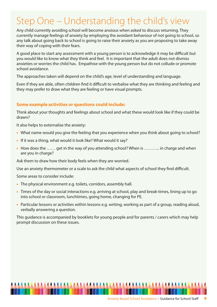# Step One – Understanding the child's view

Any child currently avoiding school will become anxious when asked to discuss returning. They currently manage feelings of anxiety by employing the avoidant behaviour of not going to school, so any talk about going back to school is going to raise their anxiety as you are proposing to take away their way of coping with their fears.

A good place to start any assessment with a young person is to acknowledge it may be difficult but you would like to know what they think and feel. It is important that the adult does not dismiss anxieties or worries the child has. Empathise with the young person but do not collude or promote school avoidance.

The approaches taken will depend on the child's age, level of understanding and language.

Even if they are able, often children find it difficult to verbalise what they are thinking and feeling and they may prefer to draw what they are feeling or have visual prompts.

#### **Some example activities or questions could include:**

Think about your thoughts and feelings about school and what these would look like if they could be drawn?

It also helps to externalise the anxiety:

- **•** What name would you give the feeling that you experience when you think about going to school?
- **•** If it was a thing, what would it look like? What would it say?
- **•** How does the …… get in the way of you attending school? When is ……….. in charge and when are you in charge?

Ask them to draw how their body feels when they are worried.

Use an anxiety thermometer or a scale to ask the child what aspects of school they find difficult.

Some areas to consider include:

- **•** The physical environment e.g. toilets, corridors, assembly hall.
- **•** Times of the day or social interactions e.g. arriving at school, play and break-times, lining up to go into school or classroom, lunchtimes, going home, changing for PE.
- **•** Particular lessons or activities within lessons e.g. writing, working as part of a group, reading aloud, verbally answering a question.

This guidance is accompanied by booklets for young people and for parents / carers which may help prompt discussion on these issues.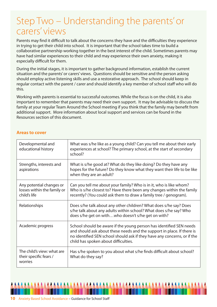# Step Two – Understanding the parents' or carers' views

Parents may find it difficult to talk about the concerns they have and the difficulties they experience in trying to get their child into school. It is important that the school takes time to build a collaborative partnership working together in the best interest of the child. Sometimes parents may have had similar experiences to their child and may experience their own anxiety, making it especially difficult for them.

During the initial stages, it is important to gather background information, establish the current situation and the parents' or carers' views. Questions should be sensitive and the person asking should employ active listening skills and use a restorative approach. The school should keep in regular contact with the parent / carer and should identify a key member of school staff who will do this.

Working with parents is essential to successful outcomes. While the focus is on the child, it is also important to remember that parents may need their own support. It may be advisable to discuss the family at your regular Team Around the School meeting if you think that the family may benefit from additional support. More information about local support and services can be found in the Resources section of this document.

#### **Areas to cover**

| Developmental and<br>educational history                                | What was s/he like as a young child? Can you tell me about their early<br>experiences at school? The primary school, at the start of secondary<br>school?                                                                                                         |
|-------------------------------------------------------------------------|-------------------------------------------------------------------------------------------------------------------------------------------------------------------------------------------------------------------------------------------------------------------|
| Strengths, interests and<br>aspirations                                 | What is s/he good at? What do they like doing? Do they have any<br>hopes for the future? Do they know what they want their life to be like<br>when they are an adult?                                                                                             |
| Any potential changes or<br>losses within the family or<br>child's life | Can you tell me about your family? Who is in it, who is like whom?<br>Who is s/he closest to? Have there been any changes within the family<br>recently? (You could ask them to draw a family tree / genogram).                                                   |
| Relationships                                                           | Does s/he talk about any other children? What does s/he say? Does<br>s/he talk about any adults within school? What does s/he say? Who<br>does s/he get on withwho doesn't s/he get on with?                                                                      |
| Academic progress                                                       | School should be aware if the young person has identified SEN needs<br>and should ask about these needs and the support in place. If there is<br>no identified SEN school should ask if they have any concerns, or if the<br>child has spoken about difficulties. |
| The child's view: what are<br>their specific fears /<br>worries         | Has s/he spoken to you about what s/he finds difficult about school?<br>What do they say?                                                                                                                                                                         |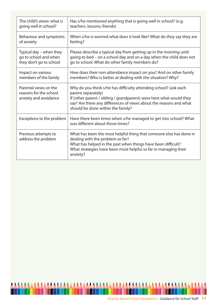| The child's views: what is                                               | Has s/he mentioned anything that is going well in school? (e.g.                                                                                                                                                                                                          |
|--------------------------------------------------------------------------|--------------------------------------------------------------------------------------------------------------------------------------------------------------------------------------------------------------------------------------------------------------------------|
| going well in school?                                                    | teachers, lessons, friends)                                                                                                                                                                                                                                              |
| Behaviour and symptoms                                                   | When s/he is worried what does it look like? What do they say they are                                                                                                                                                                                                   |
| of anxiety                                                               | feeling?                                                                                                                                                                                                                                                                 |
| Typical day – when they                                                  | Please describe a typical day from getting up in the morning until                                                                                                                                                                                                       |
| go to school and when                                                    | going to bed – on a school day and on a day when the child does not                                                                                                                                                                                                      |
| they don't go to school                                                  | go to school. What do other family members do?                                                                                                                                                                                                                           |
| Impact on various                                                        | How does their non-attendance impact on you? And on other family                                                                                                                                                                                                         |
| members of the family                                                    | members? Who is better at dealing with the situation? Why?                                                                                                                                                                                                               |
| Parental views on the<br>reasons for the school<br>anxiety and avoidance | Why do you think s/he has difficulty attending school? (ask each<br>parent separately)<br>If (other parent / sibling / grandparent) were here what would they<br>say? Are there any differences of views about the reasons and what<br>should be done within the family? |
| Exceptions to the problem                                                | Have there been times when s/he managed to get into school? What<br>was different about those times?                                                                                                                                                                     |
| Previous attempts to<br>address the problem                              | What has been the most helpful thing that someone else has done in<br>dealing with the problem so far?<br>What has helped in the past when things have been difficult?<br>What strategies have been most helpful so far in managing their<br>anxiety?                    |

A

**A** 

**AAA** 

A A

**AA** 

۸

**AAA** 

A A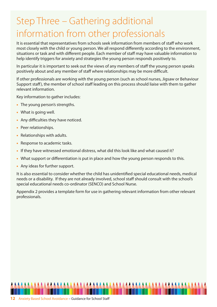# Step Three – Gathering additional information from other professionals

It is essential that representatives from schools seek information from members of staff who work most closely with the child or young person. We all respond differently according to the environment, situations or task and with different people. Each member of staff may have valuable information to help identify triggers for anxiety and strategies the young person responds positively to.

In particular it is important to seek out the views of any members of staff the young person speaks positively about and any member of staff where relationships may be more difficult.

If other professionals are working with the young person (such as school nurses, Jigsaw or Behaviour Support staff), the member of school staff leading on this process should liaise with them to gather relevant information.

Key information to gather includes:

- **•** The young person's strengths.
- **•** What is going well.
- **•** Any difficulties they have noticed.
- **•** Peer relationships.
- **•** Relationships with adults.
- **•** Response to academic tasks.
- **•** If they have witnessed emotional distress, what did this look like and what caused it?
- What support or differentiation is put in place and how the young person responds to this.
- **•** Any ideas for further support.

It is also essential to consider whether the child has unidentified special educational needs, medical needs or a disability. If they are not already involved, school staff should consult with the school's special educational needs co-ordinator (SENCO) and School Nurse.

Appendix 2 provides a template form for use in gathering relevant information from other relevant professionals.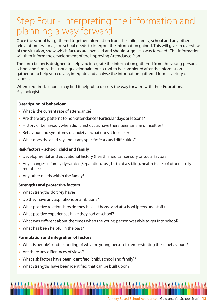# Step Four - Interpreting the information and planning a way forward

Once the school has gathered together information from the child, family, school and any other relevant professional, the school needs to interpret the information gained. This will give an overview of the situation, show which factors are involved and should suggest a way forward. This information will then inform the development of the Improving Attendance Plan.

The form below is designed to help you integrate the information gathered from the young person, school and family. It is not a questionnaire but a tool to be completed after the information gathering to help you collate, integrate and analyse the information gathered form a variety of sources.

Where required, schools may find it helpful to discuss the way forward with their Educational Psychologist.

#### **Description of behaviour**

- **•** What is the current rate of attendance?
- **•** Are there any patterns to non-attendance? Particular days or lessons?
- **•** History of behaviour: when did it first occur, have there been similar difficulties?
- **•** Behaviour and symptoms of anxiety what does it look like?
- **•** What does the child say about any specific fears and difficulties?

#### **Risk factors – school, child and family**

- **•** Developmental and educational history (health, medical, sensory or social factors)
- **•** Any changes in family dynamic? (Separation, loss, birth of a sibling, health issues of other family members)
- **•** Any other needs within the family?

#### **Strengths and protective factors**

- **•** What strengths do they have?
- **•** Do they have any aspirations or ambitions?
- **•** What positive relationships do they have at home and at school (peers and staff)?
- **•** What positive experiences have they had at school?
- **•** What was different about the times when the young person was able to get into school?
- **•** What has been helpful in the past?

#### **Formulation and integration of factors**

- **•** What is people's understanding of why the young person is demonstrating these behaviours?
- **•** Are there any differences of views?
- **•** What risk factors have been identified (child, school and family)?
- **•** What strengths have been identified that can be built upon?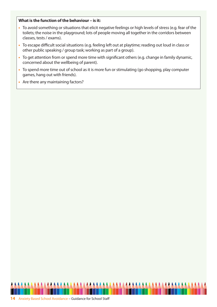#### **What is the function of the behaviour – is it:**

- **•** To avoid something or situations that elicit negative feelings or high levels of stress (e.g. fear of the toilets; the noise in the playground; lots of people moving all together in the corridors between classes, tests / exams).
- **•** To escape difficult social situations (e.g. feeling left out at playtime; reading out loud in class or other public speaking / group task; working as part of a group).
- **•** To get attention from or spend more time with significant others (e.g. change in family dynamic, concerned about the wellbeing of parent).
- **•** To spend more time out of school as it is more fun or stimulating (go shopping, play computer games, hang out with friends).
- **•** Are there any maintaining factors?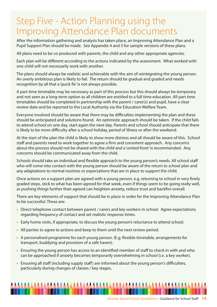# Step Five - Action Planning using the Improving Attendance Plan documents

After the information gathering and analysis has taken place, an Improving Attendance Plan and a Pupil Support Plan should be made. See Appendix 4 and 5 for sample versions of these plans.

All plans need to be co-produced with parents, the child and any other appropriate agencies.

Each plan will be different according to the actions indicated by the assessment. What worked with one child will not necessarily work with another.

The plans should always be realistic and achievable with the aim of reintegrating the young person. An overly ambitious plan is likely to fail. The return should be gradual and graded and needs recognition by all that a 'quick fix' is not always possible.

A part time timetable may be necessary as part of this process but this should always be temporary and not seen as a long-term option as all children are entitled to a full time education. All part time timetables should be completed in partnership with the parent / carer(s) and pupil, have a clear review date and be reported to the Local Authority via the Education Welfare Team.

Everyone involved should be aware that there may be difficulties implementing the plan and these should be anticipated and solutions found. An optimistic approach should be taken. If the child fails to attend school on one day, start again the next day. Parents and school should anticipate that there is likely to be more difficulty after a school holiday, period of illness or after the weekend.

At the start of the plan the child is likely to show more distress and all should be aware of this. School staff and parents need to work together to agree a firm and consistent approach. Any concerns about the process should not be shared with the child and a 'united front' is recommended. Any concerns should be communicated away from the child.

Schools should take an individual and flexible approach to the young person's needs. All school staff who will come into contact with the young person should be aware of the return to school plan and any adaptations to normal routines or expectations that are in place to support the child.

Once actions on a support plan are agreed with a young person, e.g. returning to school in very finely graded steps, stick to what has been agreed for that week, even if things seem to be going really well, as pushing things further than agreed can heighten anxiety, reduce trust and backfire overall.

There are key elements of support that should be in place in order for the Improving Attendance Plan to be successful. These are:

- **•** Direct telephone contact between parent / carers and key workers in school. Agree expectations regarding frequency of contact and set realistic response times.
- **•** Early home visits, if appropriate, to discuss the young person's reluctance to attend school.
- **•** All parties to agree to actions and keep to them until the next review period.
- **•** A personalised programme for each young person. (E.g. flexible timetable, arrangements for transport, buddying and provision of a safe haven).
- **•** Ensuring the young person has access to an identified member of staff to check in with and who can be approached if anxiety becomes temporarily overwhelming in school (i.e. a key worker).
- **•** Ensuring all staff (including supply staff) are informed about the young person's difficulties, particularly during changes of classes / key stages.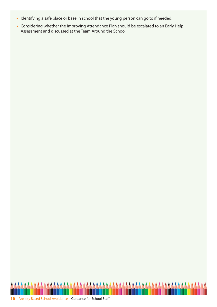- **•** Identifying a safe place or base in school that the young person can go to if needed.
- **•** Considering whether the Improving Attendance Plan should be escalated to an Early Help Assessment and discussed at the Team Around the School.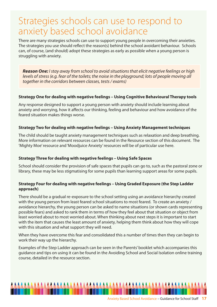## Strategies schools can use to respond to anxiety based school avoidance

There are many strategies schools can use to support young people in overcoming their anxieties. The strategies you use should reflect the reason(s) behind the school avoidant behaviour. Schools can, of course, (and should) adopt these strategies as early as possible when a young person is struggling with anxiety.

**Reason One:** I stay away from school to avoid situations that elicit negative feelings or high levels of stress (e.g. fear of the toilets; the noise in the playground; lots of people moving all together in the corridors between classes, tests / exams)

#### **Strategy One for dealing with negative feelings – Using Cognitive Behavioural Therapy tools**

Any response designed to support a young person with anxiety should include learning about anxiety and worrying, how it affects our thinking, feeling and behaviour and how avoidance of the feared situation makes things worse.

#### **Strategy Two for dealing with negative feelings – Using Anxiety Management techniques**

The child should be taught anxiety management techniques such as relaxation and deep breathing. More information on relevant resources can be found in the Resource section of this document. The 'Mighty Moe' resource and 'Moodjuice Anxiety' resources will be of particular use here.

#### **Strategy Three for dealing with negative feelings – Using Safe Spaces**

School should consider the provision of safe spaces that pupils can go to, such as the pastoral zone or library, these may be less stigmatising for some pupils than learning support areas for some pupils.

#### **Strategy Four for dealing with negative feelings – Using Graded Exposure (the Step Ladder approach)**

There should be a gradual re-exposure to the school setting using an avoidance hierarchy created with the young person from least feared school situations to most feared. To create an anxiety / avoidance hierarchy, the young person can be asked to name situations (or shown cards representing possible fears) and asked to rank them in terms of how they feel about that situation or object from least worried about to most worried about. When thinking about next steps it is important to start with the item that causes the least amount of anxiety, helping them think about how they will cope with this situation and what support they will need.

When they have overcome this fear and consolidated this a number of times then they can begin to work their way up the hierarchy.

Examples of the Step Ladder approach can be seen in the Parents' booklet which accompanies this guidance and tips on using it can be found in the Avoiding School and Social Isolation online training course, detailed in the resource section.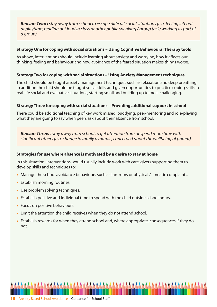**Reason Two:** I stay away from school to escape difficult social situations (e.g. feeling left out at playtime; reading out loud in class or other public speaking / group task; working as part of a group)

#### **Strategy One for coping with social situations – Using Cognitive Behavioural Therapy tools**

As above, interventions should include learning about anxiety and worrying, how it affects our thinking, feeling and behaviour and how avoidance of the feared situation makes things worse.

#### **Strategy Two for coping with social situations – Using Anxiety Management techniques**

The child should be taught anxiety management techniques such as relaxation and deep breathing. In addition the child should be taught social skills and given opportunities to practice coping skills in real-life social and evaluative situations, starting small and building up to most challenging.

#### **Strategy Three for coping with social situations – Providing additional support in school**

There could be additional teaching of key work missed, buddying, peer-mentoring and role-playing what they are going to say when peers ask about their absence from school.

*Reason Three:* I stay away from school to get attention from or spend more time with significant others (e.g. change in family dynamic, concerned about the wellbeing of parent).

#### **Strategies for use where absence is motivated by a desire to stay at home**

In this situation, interventions would usually include work with care-givers supporting them to develop skills and techniques to:

- **•** Manage the school avoidance behaviours such as tantrums or physical / somatic complaints.
- **•** Establish morning routines.
- **•** Use problem solving techniques.
- **•** Establish positive and individual time to spend with the child outside school hours.
- **•** Focus on positive behaviours.
- **•** Limit the attention the child receives when they do not attend school.
- **•** Establish rewards for when they attend school and, where appropriate, consequences if they do not.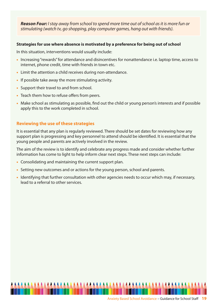*Reason Four:* I stay away from school to spend more time out of school as it is more fun or stimulating (watch tv, go shopping, play computer games, hang out with friends).

#### **Strategies for use where absence is motivated by a preference for being out of school**

In this situation, interventions would usually include:

- **•** Increasing "rewards" for attendance and disincentives for nonattendance i.e. laptop time, access to internet, phone credit, time with friends in town etc.
- **•** Limit the attention a child receives during non-attendance.
- **•** If possible take away the more stimulating activity.
- **•** Support their travel to and from school.
- **•** Teach them how to refuse offers from peers.
- **•** Make school as stimulating as possible, find out the child or young person's interests and if possible apply this to the work completed in school.

#### **Reviewing the use of these strategies**

It is essential that any plan is regularly reviewed. There should be set dates for reviewing how any support plan is progressing and key personnel to attend should be identified. It is essential that the young people and parents are actively involved in the review.

The aim of the review is to identify and celebrate any progress made and consider whether further information has come to light to help inform clear next steps. These next steps can include:

- **•** Consolidating and maintaining the current support plan.
- **•** Setting new outcomes and or actions for the young person, school and parents.
- **•** Identifying that further consultation with other agencies needs to occur which may, if necessary, lead to a referral to other services.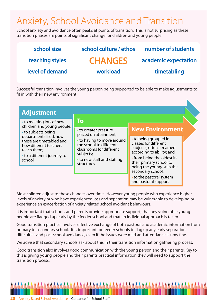# Anxiety, School Avoidance and Transition

School anxiety and avoidance often peaks at points of transition. This is not surprising as these transition phases are points of significant change for children and young people.

| school size     | school culture / ethos | number of students   |
|-----------------|------------------------|----------------------|
| teaching styles | <b>CHANGES</b>         | academic expectation |
| level of demand | workload               | timetabling          |
|                 |                        |                      |

Successful transition involves the young person being supported to be able to make adjustments to fit in with their new environment.

| <b>Adjustment</b>                                                                                                                                          |                                                                                                                                                                                               |                                                                                                                                                                                                                    |  |  |  |  |
|------------------------------------------------------------------------------------------------------------------------------------------------------------|-----------------------------------------------------------------------------------------------------------------------------------------------------------------------------------------------|--------------------------------------------------------------------------------------------------------------------------------------------------------------------------------------------------------------------|--|--|--|--|
| • to meeting lots of new<br>children and young people;                                                                                                     | Τo                                                                                                                                                                                            | <b>New Environment</b>                                                                                                                                                                                             |  |  |  |  |
| • to subjects being<br>departmentalised, how<br>these are timetabled and<br>how different teachers<br>teach them;<br>• to a different journey to<br>school | • to greater pressure<br>placed on attainment;<br>• to having to move around<br>the school to different<br>classrooms for different<br>subjects;<br>• to new staff and staffing<br>structures | • to being grouped in<br>classes for different<br>subjects, often streamed<br>according to ability; and<br>• from being the oldest in<br>their primary school to<br>being the youngest in the<br>secondary school; |  |  |  |  |
|                                                                                                                                                            |                                                                                                                                                                                               | • to the pastoral system<br>and pastoral support                                                                                                                                                                   |  |  |  |  |

Most children adjust to these changes over time. However young people who experience higher levels of anxiety or who have experienced loss and separation may be vulnerable to developing or experience an exacerbation of anxiety related school avoidant behaviours.

It is important that schools and parents provide appropriate support, that any vulnerable young people are flagged up early by the feeder school and that an individual approach is taken.

Good transition practice involves effective exchange of both pastoral and academic information from primary to secondary school. It is important for feeder schools to flag up any early separation difficulties and past school avoidance, even if the issues were mild and attendance is now fine.

We advise that secondary schools ask about this in their transition information gathering process.

Good transition also involves good communication with the young person and their parents. Key to this is giving young people and their parents practical information they will need to support the transition process.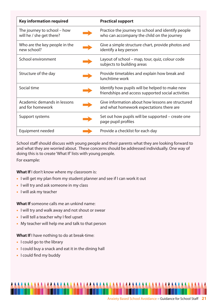| <b>Key information required</b>                         | <b>Practical support</b>                                                                             |
|---------------------------------------------------------|------------------------------------------------------------------------------------------------------|
| The journey to school – how<br>will he / she get there? | Practice the journey to school and identify people<br>who can accompany the child on the journey     |
| Who are the key people in the<br>new school?            | Give a simple structure chart, provide photos and<br>identify a key person                           |
| School environment                                      | Layout of school – map, tour, quiz, colour code<br>subjects to building areas                        |
| Structure of the day                                    | Provide timetables and explain how break and<br>lunchtime work                                       |
| Social time                                             | Identify how pupils will be helped to make new<br>friendships and access supported social activities |
| Academic demands in lessons<br>and for homework         | Give information about how lessons are structured<br>and what homework expectations there are        |
| Support systems                                         | Set out how pupils will be supported – create one<br>page pupil profiles                             |
| Equipment needed                                        | Provide a checklist for each day                                                                     |

School staff should discuss with young people and their parents what they are looking forward to and what they are worried about. These concerns should be addressed individually. One way of doing this is to create 'What If' lists with young people.

For example:

**What If** I don't know where my classroom is:

- **•** I will get my plan from my student planner and see if I can work it out
- **•** I will try and ask someone in my class
- **•** I will ask my teacher

**What If** someone calls me an unkind name:

- **•** I will try and walk away and not shout or swear
- **•** I will tell a teacher why I feel upset
- **•** My teacher will help me and talk to that person

**What If** I have nothing to do at break-time:

- **•** I could go to the library
- **•** I could buy a snack and eat it in the dining hall
- **•** I could find my buddy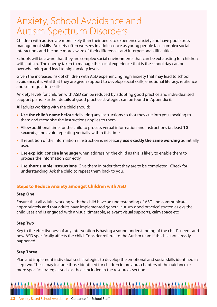# Anxiety, School Avoidance and Autism Spectrum Disorders

Children with autism are more likely than their peers to experience anxiety and have poor stress management skills. Anxiety often worsens in adolescence as young people face complex social interactions and become more aware of their differences and interpersonal difficulties.

Schools will be aware that they are complex social environments that can be exhausting for children with autism. The energy taken to manage the social experience that is the school day can be overwhelming and lead to high anxiety levels.

Given the increased risk of children with ASD experiencing high anxiety that may lead to school avoidance, it is vital that they are given support to develop social skills, emotional literacy, resilience and self-regulation skills.

Anxiety levels for children with ASD can be reduced by adopting good practice and individualised support plans. Further details of good practice strategies can be found in Appendix 6.

**All** adults working with the child should:

- **• Use the child's name before** delivering any instructions so that they cue into you speaking to them and recognise the instructions applies to them.
- **•** Allow additional time for the child to process verbal information and instructions (at least **10 seconds**) and avoid repeating verbally within this time.
- **•** If repetition of the information / instruction is necessary **use exactly the same wording** as initially used.
- **•** Use **explicit, concise language** when addressing the child as this is likely to enable them to process the information correctly.
- **•** Use **short simple instructions**. Give them in order that they are to be completed. Check for understanding. Ask the child to repeat them back to you.

#### **Steps to Reduce Anxiety amongst Children with ASD**

#### **Step One**

Ensure that all adults working with the child have an understanding of ASD and communicate appropriately and that adults have implemented general autism 'good practice' strategies e.g. the child uses and is engaged with a visual timetable, relevant visual supports, calm space etc.

#### **Step Two**

Key to the effectiveness of any intervention is having a sound understanding of the child's needs and how ASD specifically affects the child. Consider referral to the Autism team if this has not already happened.

#### **Step Three**

Plan and implement individualised, strategies to develop the emotional and social skills identified in step two. These may include those identified for children in previous chapters of the guidance or more specific strategies such as those included in the resources section.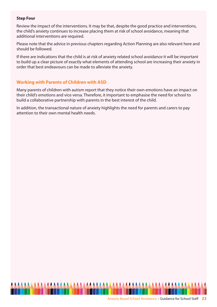#### **Step Four**

Review the impact of the interventions. It may be that, despite the good practice and interventions, the child's anxiety continues to increase placing them at risk of school avoidance, meaning that additional interventions are required.

Please note that the advice in previous chapters regarding Action Planning are also relevant here and should be followed.

If there are indications that the child is at risk of anxiety related school avoidance it will be important to build up a clear picture of exactly what elements of attending school are increasing their anxiety in order that best endeavours can be made to alleviate the anxiety.

#### **Working with Parents of Children with ASD**

Many parents of children with autism report that they notice their own emotions have an impact on their child's emotions and vice versa. Therefore, it important to emphasise the need for school to build a collaborative partnership with parents in the best interest of the child.

In addition, the transactional nature of anxiety highlights the need for parents and carers to pay attention to their own mental health needs.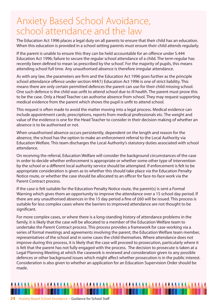# Anxiety Based School Avoidance, school attendance and the law

The Education Act 1996 places a legal duty on all parents to ensure that their child has an education. When this education is provided in a school setting parents must ensure their child attends regularly.

If the parent is unable to ensure this they can be held accountable for an offence under S.444 Education Act 1996; failure to secure the regular school attendance of a child. The term regular has recently been defined to mean 'as prescribed by the school'. For the majority of pupils, this means attending school full time. Any unauthorised absence is therefore irregular attendance.

As with any law, the parameters are firm and the Education Act 1996 goes further as the principle school attendance offence under section 444(1) Education Act 1996 is one of strict liability. This means there are only certain permitted defences the parent can use for their child missing school. One such defence is the child was unfit to attend school due to ill health. The parent must prove this to be the case. Only a Head Teacher can authorise absence from school. They may request supporting medical evidence from the parent which shows the pupil is unfit to attend school.

This request is often made to avoid the matter moving into a legal process. Medical evidence can include appointment cards; prescriptions, reports from medical professionals etc. The weight and value of the evidence is one for the Head Teacher to consider in their decision making of whether an absence is to be authorised or not.

When unauthorised absence occurs persistently, dependent on the length and reason for the absence, the school has the option to make an enforcement referral to the Local Authority via Education Welfare. This team discharges the Local Authority's statutory duties associated with school attendance.

On receiving the referral, Education Welfare will consider the background circumstances of the case in order to decide whether enforcement is appropriate or whether some other type of intervention by the school or a different local authority service should be attempted. If enforcement is felt to be appropriate consideration is given as to whether this should take place via the Education Penalty Notice route, or whether the case should be allocated to an officer for face-to-face work via the Parent Contract process.

If the case is felt suitable for the Education Penalty Notice route, the parent(s) is sent a Formal Warning which gives them an opportunity to improve the attendance over a 15 school day period. If there are any unauthorised absences in the 15 day period a fine of £60 will be issued. This process is suitable for less complex cases where the barriers to improved attendance are not thought to be significant.

For more complex cases, or where there is a long-standing history of attendance problems in the family, it is likely that the case will be allocated to a member of the Education Welfare team to undertake the Parent Contract process. This process provides a framework for case-working via a series of formal meetings and agreements involving the parent, the Education Welfare team member, representatives of the school and in some cases the child themselves. Where attendance does not improve during this process, it is likely that the case will proceed to prosecution, particularly where it is felt that the parent has not fully engaged with the process. The decision to prosecute is taken at a Legal Planning Meeting at which the casework is reviewed and consideration given to any possible defences or other background issues which might affect whether prosecution is in the public interest. Consideration is also given to whether an application for an Education Supervision Order should be made.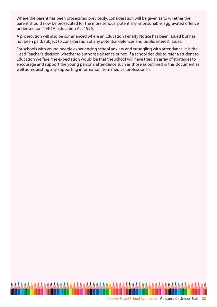Where the parent has been prosecuted previously, consideration will be given as to whether the parent should now be prosecuted for the more serious, potentially imprisonable, aggravated offence under section 444(1A) Education Act 1996.

A prosecution will also be commenced where an Education Penalty Notice has been issued but has not been paid, subject to consideration of any potential defences and public interest issues.

For schools with young people experiencing school anxiety and struggling with attendance, it is the Head Teacher's decision whether to authorise absence or not. If a school decides to refer a student to Education Welfare, the expectation would be that the school will have tried an array of strategies to encourage and support the young person's attendance such as those as outlined in this document as well as requesting any supporting information from medical professionals.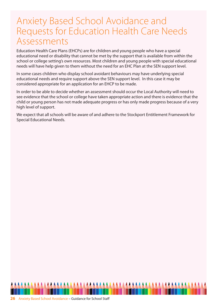## Anxiety Based School Avoidance and Requests for Education Health Care Needs Assessments

Education Health Care Plans (EHCPs) are for children and young people who have a special educational need or disability that cannot be met by the support that is available from within the school or college setting's own resources. Most children and young people with special educational needs will have help given to them without the need for an EHC Plan at the SEN support level.

In some cases children who display school avoidant behaviours may have underlying special educational needs and require support above the SEN support level. In this case it may be considered appropriate for an application for an EHCP to be made.

In order to be able to decide whether an assessment should occur the Local Authority will need to see evidence that the school or college have taken appropriate action and there is evidence that the child or young person has not made adequate progress or has only made progress because of a very high level of support.

We expect that all schools will be aware of and adhere to the Stockport Entitlement Framework for Special Educational Needs.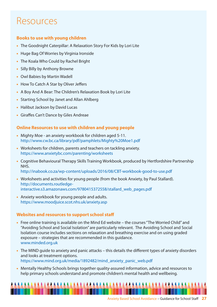# Resources

#### **Books to use with young children**

- **•** The Goodnight Caterpillar: A Relaxation Story For Kids by Lori Lite
- **•** Huge Bag Of Worries by Virginia Ironside
- **•** The Koala Who Could by Rachel Bright
- **•** Silly Billy by Anthony Browne
- **•** Owl Babies by Martin Wadell
- **•** How To Catch A Star by Oliver Jeffers
- **•** A Boy And A Bear: The Children's Relaxation Book by Lori Lite
- **•** Starting School by Janet and Allan Ahlberg
- **•** Halibut Jackson by David Lucas
- **•** Giraffes Can't Dance by Giles Andreae

#### **Online Resources to use with children and young people**

- **•** Mighty Moe an anxiety workbook for children aged 5-11. http://www.cw.bc.ca/library/pdf/pamphlets/Mighty%20Moe1.pdf
- **•** Worksheets for children, parents and teachers on tackling anxiety. https://www.anxietybc.com/parenting/worksheets
- **•** Cognitive Behavioural Therapy Skills Training Workbook, produced by Hertfordshire Partnership NHS.

http://inabook.co.za/wp-content/uploads/2016/08/CBT-workbook-good-to-use.pdf

- **•** Worksheets and activities for young people (from the book Anxiety, by Paul Stallard). http://documents.routledgeinteractive.s3.amazonaws.com/9780415372558/stallard\_web\_pages.pdf
- **•** Anxiety workbook for young people and adults. https://www.moodjuice.scot.nhs.uk/anxiety.asp

#### **Websites and resources to support school staff**

- **•** Free online training is available on the Mind Ed website the courses "The Worried Child" and "Avoiding School and Social Isolation" are particularly relevant. The Avoiding School and Social Isolation course includes sections on relaxation and breathing exercise and on using graded exposure – strategies that are recommended in this guidance. www.minded.org.uk
- **•** The MIND guide to anxiety and panic attacks this details the different types of anxiety disorders and looks at treatment options. https://www.mind.org.uk/media/1892482/mind\_anxiety\_panic\_web.pdf
- **•** Mentally Healthy Schools brings together quality-assured information, advice and resources to help primary schools understand and promote children's mental health and wellbeing.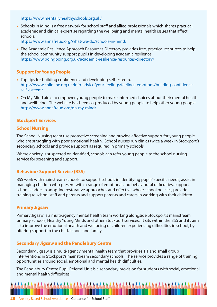https://www.mentallyhealthyschools.org.uk/

**•** Schools in Mind is a free network for school staff and allied professionals which shares practical, academic and clinical expertise regarding the wellbeing and mental health issues that affect schools.

https://www.annafreud.org/what-we-do/schools-in-mind/

• The Academic Resilience Approach Resources Directory provides free, practical resources to help the school community support pupils in developing academic resilience. https://www.boingboing.org.uk/academic-resilience-resources-directory/

#### **Support for Young People**

- **•** Top tips for building confidence and developing self-esteem. https://www.childline.org.uk/info-advice/your-feelings/feelings-emotions/building-confidenceself-esteem/
- **•** On My Mind aims to empower young people to make informed choices about their mental health and wellbeing. The website has been co-produced by young people to help other young people. https://www.annafreud.org/on-my-mind/

#### **Stockport Services**

#### **School Nursing**

The School Nursing team use protective screening and provide effective support for young people who are struggling with poor emotional health. School nurses run clinics twice a week in Stockport's secondary schools and provide support as required in primary schools.

Where anxiety is suspected or identified, schools can refer young people to the school nursing service for screening and support.

#### **Behaviour Support Service (BSS)**

BSS work with mainstream schools to: support schools in identifying pupils' specific needs, assist in managing children who present with a range of emotional and behavioural difficulties, support school leaders in adopting restorative approaches and effective whole school policies, provide training to school staff and parents and support parents and carers in working with their children.

#### **Primary Jigsaw**

Primary Jigsaw is a multi-agency mental health team working alongside Stockport's mainstream primary schools, Healthy Young Minds and other Stockport services. It sits within the BSS and its aim is to improve the emotional health and wellbeing of children experiencing difficulties in school, by offering support to the child, school and family.

#### **Secondary Jigsaw and the Pendlebury Centre**

Secondary Jigsaw is a multi-agency mental health team that provides 1:1 and small group interventions in Stockport's mainstream secondary schools. The service provides a range of training opportunities around social, emotional and mental health difficulties.

The Pendlebury Centre Pupil Referral Unit is a secondary provision for students with social, emotional and mental health difficulties.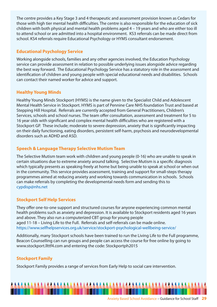The centre provides a Key Stage 3 and 4 therapeutic and assessment provision known as Cedars for those with high tier mental health difficulties. The centre is also responsible for the education of sick children with both physical and mental health problems aged 4 – 19 years and who are either too ill to attend school or are admitted into a hospital environment. KS3 referrals can be made direct from school. KS4 referrals require Educational Psychology or HYMS consultant endorsement.

#### **Educational Psychology Service**

Working alongside schools, families and any other agencies involved, the Education Psychology service can provide assessment in relation to possible underlying issues alongside advice regarding the best way forward. The Educational Psychology Service has a statutory role in the assessment and identification of children and young people with special educational needs and disabilities. Schools can contact their named worker for advice and support.

#### **Healthy Young Minds**

Healthy Young Minds Stockport (HYMS) is the name given to the Specialist Child and Adolescent Mental Health Service in Stockport. HYMS is part of Pennine Care NHS foundation Trust and based at Stepping Hill Hospital. Referrals are currently accepted from General Practitioners, Children's Services, schools and school nurses. The team offer consultation, assessment and treatment for 5 to 16 year olds with significant and complex mental health difficulties who are registered with a Stockport GP. These include; moderate to severe depression, anxiety that is significantly impacting on their daily functioning, eating disorders, persistent self-harm, psychosis and neurodevelopmental disorders such as ADHD and ASD.

#### **Speech & Language Therapy Selective Mutism Team**

The Selective Mutism team work with children and young people (0-16) who are unable to speak in certain situations due to extreme anxiety around talking. Selective Mutism is a specific diagnosis which typically presents as speaking freely at home but being unable to speak at school or when out in the community. This service provides assessment, training and support for small-steps therapy programmes aimed at reducing anxiety and working towards communication in schools. Schools can make referrals by completing the developmental needs form and sending this to cypdisp@nhs.net

#### **Stockport Self Help Services**

They offer one-to-one support and structured courses for anyone experiencing common mental health problems such as anxiety and depression. It is available to Stockport residents aged 16 years and above. They also run a computerized CBT group for young people aged 11-18 – Living Life to the Full. Referrals and self-referrals can be made online. https://www.selfhelpservices.org.uk/service/stockport-psychological-wellbeing-service/

Additionally, many Stockport schools have been trained to run the Living Life to the Full programme, Beacon Counselling can run groups and people can access the course for free online by going to www.stockport.llttf4.com and entering the code: Stockportph2015

#### **Stockport Family**

Stockport Family provides a range of services from Early Help to social care intervention.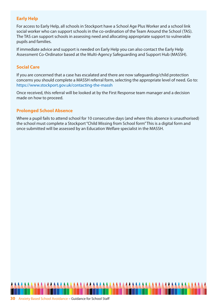#### **Early Help**

For access to Early Help, all schools in Stockport have a School Age Plus Worker and a school link social worker who can support schools in the co-ordination of the Team Around the School (TAS). The TAS can support schools in assessing need and allocating appropriate support to vulnerable pupils and families.

If immediate advice and support is needed on Early Help you can also contact the Early Help Assessment Co-Ordinator based at the Multi-Agency Safeguarding and Support Hub (MASSH).

#### **Social Care**

If you are concerned that a case has escalated and there are now safeguarding/child protection concerns you should complete a MASSH referral form, selecting the appropriate level of need. Go to: https://www.stockport.gov.uk/contacting-the-massh

Once received, this referral will be looked at by the First Response team manager and a decision made on how to proceed.

#### **Prolonged School Absence**

Where a pupil fails to attend school for 10 consecutive days (and where this absence is unauthorised) the school must complete a Stockport "Child Missing from School form" This is a digital form and once submitted will be assessed by an Education Welfare specialist in the MASSH.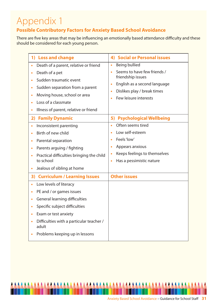# Appendix 1

#### **Possible Contributory Factors for Anxiety Based School Avoidance**

There are five key areas that may be influencing an emotionally based attendance difficulty and these should be considered for each young person.

| <b>4) Social or Personal issues</b>                                                                                                                                       |
|---------------------------------------------------------------------------------------------------------------------------------------------------------------------------|
| <b>Being bullied</b><br>$\bullet$                                                                                                                                         |
| Seems to have few friends /<br>friendship issues<br>English as a second language<br>$\bullet$                                                                             |
| Dislikes play / break times<br>Few leisure interests                                                                                                                      |
| 5) Psychological Wellbeing                                                                                                                                                |
| Often seems tired<br>$\bullet$<br>Low self-esteem<br>Feels 'low'<br>$\bullet$<br>Appears anxious<br>Keeps feelings to themselves<br>Has a pessimistic nature<br>$\bullet$ |
| <b>Other issues</b>                                                                                                                                                       |
|                                                                                                                                                                           |
|                                                                                                                                                                           |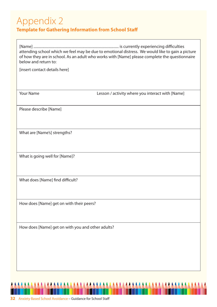### Appendix 2

#### **Template for Gathering Information from School Staff**

[Name] .............................................................................................. is currently experiencing difficulties attending school which we feel may be due to emotional distress. We would like to gain a picture of how they are in school. As an adult who works with [Name] please complete the questionnaire below and return to:

[insert contact details here]

Your Name **Lesson / activity where you interact with [Name]** Lesson / activity where you interact with [Name]

Please describe [Name]

What are [Name's] strengths?

What is going well for [Name]?

What does [Name] find difficult?

How does [Name] get on with their peers?

How does [Name] get on with you and other adults?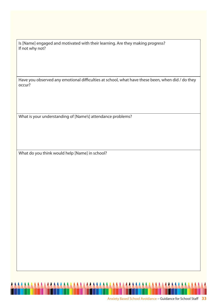Is [Name] engaged and motivated with their learning. Are they making progress? If not why not?

Have you observed any emotional difficulties at school, what have these been, when did / do they occur?

What is your understanding of [Name's] attendance problems?

What do you think would help [Name] in school?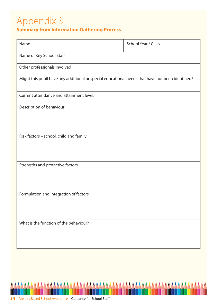# Appendix 3

#### **Summary from Information Gathering Process**

| Name                                                                                             | School Year / Class |  |  |  |  |
|--------------------------------------------------------------------------------------------------|---------------------|--|--|--|--|
| Name of Key School Staff                                                                         |                     |  |  |  |  |
| Other professionals involved                                                                     |                     |  |  |  |  |
| Might this pupil have any additional or special educational needs that have not been identified? |                     |  |  |  |  |
| Current attendance and attainment level:                                                         |                     |  |  |  |  |
| Description of behaviour                                                                         |                     |  |  |  |  |
| Risk factors - school, child and family                                                          |                     |  |  |  |  |
| Strengths and protective factors                                                                 |                     |  |  |  |  |
| Formulation and integration of factors                                                           |                     |  |  |  |  |
| What is the function of the behaviour?                                                           |                     |  |  |  |  |

**AAAAAAA** 

AAAAAA

AAAAAAA

**AAA** 

AAAA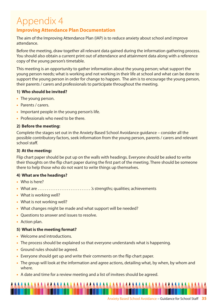# Appendix 4

#### **Improving Attendance Plan Documentation**

The aim of the Improving Attendance Plan (IAP) is to reduce anxiety about school and improve attendance.

Before the meeting, draw together all relevant data gained during the information gathering process. You should also obtain a current print out of attendance and attainment data along with a reference copy of the young person's timetable.

This meeting is an opportunity to gather information about the young person; what support the young person needs; what is working and not working in their life at school and what can be done to support the young person in order for change to happen. The aim is to encourage the young person, their parents / carers and professionals to participate throughout the meeting.

#### **1) Who should be invited?**

- **•** The young person.
- **•** Parents / carers.
- **•** Important people in the young person's life.
- **•** Professionals who need to be there.

#### **2) Before the meeting:**

Complete the stages set out in the Anxiety Based School Avoidance guidance – consider all the possible contributory factors, seek information from the young person, parents / carers and relevant school staff.

#### **3) At the meeting:**

Flip chart paper should be put up on the walls with headings. Everyone should be asked to write their thoughts on the flip chart paper during the first part of the meeting. There should be someone there to help those who do not want to write things up themselves.

#### **4) What are the headings?**

- **•** Who is here?
- **•** What are . . . . . . . . . . . . . . . . . . . . . . . . . . . . . .'s strengths; qualities; achievements
- **•** What is working well?
- **•** What is not working well?
- **•** What changes might be made and what support will be needed?
- **•** Questions to answer and issues to resolve.
- **•** Action plan.

#### **5) What is the meeting format?**

- **•** Welcome and introductions.
- **•** The process should be explained so that everyone understands what is happening.
- **•** Ground rules should be agreed.
- **•** Everyone should get up and write their comments on the flip chart paper.
- **•** The group will look at the information and agree actions, detailing what, by when, by whom and where.
- **•** A date and time for a review meeting and a list of invitees should be agreed.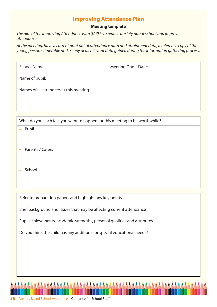#### **Improving Attendance Plan**

#### **Meeting template**

The aim of the Improving Attendance Plan (IAP) is to reduce anxiety about school and improve attendance.

At the meeting, have a current print out of attendance data and attainment data, a reference copy of the young person's timetable and a copy of all relevant data gained during the information gathering process.

Meeting One – Date:

Name of pupil:

Names of all attendees at this meeting

What do you each feel you want to happen for this meeting to be worthwhile?

- **•** Pupil
- **•** Parents / Carers
- **•** School

Refer to preparation papers and highlight any key points

Brief background and issues that may be affecting current attendance

Pupil achievements, academic strengths, personal qualities and attributes

Do you think the child has any additional or special educational needs?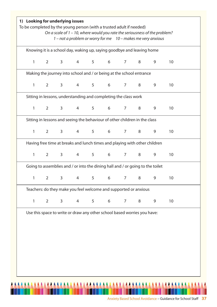| Knowing it is a school day, waking up, saying goodbye and leaving home         |                                |                |                 |                                                                            |                 |                 |   |   |                 |
|--------------------------------------------------------------------------------|--------------------------------|----------------|-----------------|----------------------------------------------------------------------------|-----------------|-----------------|---|---|-----------------|
| $\mathbf{1}$                                                                   | $2^{\circ}$                    | 3 <sup>7</sup> |                 | 4 5 6 7 8                                                                  |                 |                 |   | 9 | 10              |
|                                                                                |                                |                |                 | Making the journey into school and / or being at the school entrance       |                 |                 |   |   |                 |
| 1                                                                              | $2^{\circ}$                    | $\mathsf{3}$   | $4\overline{ }$ | $5^{\circ}$                                                                | $6\overline{6}$ | $7\overline{ }$ | 8 | 9 | 10              |
|                                                                                |                                |                |                 | Sitting in lessons, understanding and completing the class work            |                 |                 |   |   |                 |
| 1                                                                              | $2 \left( \frac{1}{2} \right)$ |                |                 | $3 \t 4 \t 5 \t 6$                                                         |                 | $7\overline{ }$ | 8 | 9 | 10              |
|                                                                                |                                |                |                 | Sitting in lessons and seeing the behaviour of other children in the class |                 |                 |   |   |                 |
| $\mathbf{1}$                                                                   | $2^{\sim}$                     |                |                 | $3 \qquad 4 \qquad 5 \qquad 6 \qquad 7 \qquad 8$                           |                 |                 |   | 9 | 10              |
|                                                                                |                                |                |                 | Having free time at breaks and lunch times and playing with other children |                 |                 |   |   |                 |
| $\mathbf{1}$                                                                   | $2^{\circ}$                    | 3 <sup>7</sup> | $4\overline{ }$ | 5 <sub>1</sub>                                                             | 6               | 7 <sup>7</sup>  | 8 | 9 | 10              |
| Going to assemblies and / or into the dining hall and / or going to the toilet |                                |                |                 |                                                                            |                 |                 |   |   |                 |
|                                                                                |                                |                |                 | 1 2 3 4 5 6 7 8                                                            |                 |                 |   |   | 10 <sup>°</sup> |
|                                                                                |                                |                |                 | Teachers: do they make you feel welcome and supported or anxious           |                 |                 |   |   |                 |
| $\mathbf{1}$                                                                   | $\overline{2}$                 | 3              | 4               | 5                                                                          | 6               | $\overline{7}$  | 8 | 9 | 10              |
|                                                                                |                                |                |                 | Use this space to write or draw any other school based worries you have:   |                 |                 |   |   |                 |
|                                                                                |                                |                |                 |                                                                            |                 |                 |   |   |                 |
|                                                                                |                                |                |                 |                                                                            |                 |                 |   |   |                 |
|                                                                                |                                |                |                 |                                                                            |                 |                 |   |   |                 |
|                                                                                |                                |                |                 |                                                                            |                 |                 |   |   |                 |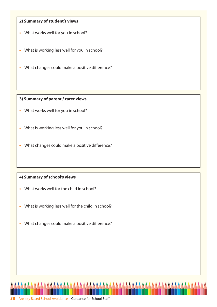#### **2) Summary of student's views**

- **•** What works well for you in school?
- **•** What is working less well for you in school?
- **•** What changes could make a positive difference?

#### **3) Summary of parent / carer views**

- **•** What works well for you in school?
- **•** What is working less well for you in school?
- **•** What changes could make a positive difference?

#### **4) Summary of school's views**

- **•** What works well for the child in school?
- **•** What is working less well for the child in school?
- **•** What changes could make a positive difference?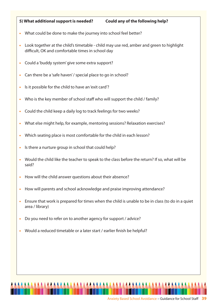#### **5) What additional support is needed? Could any of the following help?**

- **•** What could be done to make the journey into school feel better?
- **•** Look together at the child's timetable child may use red, amber and green to highlight difficult, OK and comfortable times in school day
- **•** Could a 'buddy system' give some extra support?
- **•** Can there be a 'safe haven' / special place to go in school?
- **•** ls it possible for the child to have an 'exit card'?
- **•** Who is the key member of school staff who will support the child / family?
- **•** Could the child keep a daily log to track feelings for two weeks?
- **•** What else might help, for example, mentoring sessions? Relaxation exercises?
- **•** Which seating place is most comfortable for the child in each lesson?
- **•** ls there a nurture group in school that could help?
- **•** Would the child like the teacher to speak to the class before the return? If so, what will be said?
- **•** How will the child answer questions about their absence?
- **•** How will parents and school acknowledge and praise improving attendance?
- **•** Ensure that work is prepared for times when the child is unable to be in class (to do in a quiet area / library)
- **•** Do you need to refer on to another agency for support / advice?
- **•** Would a reduced timetable or a later start / earlier finish be helpful?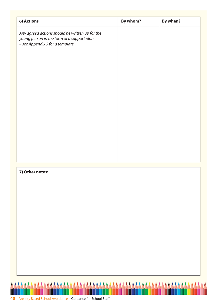| 6) Actions                                                                                                                       | By whom? | By when? |
|----------------------------------------------------------------------------------------------------------------------------------|----------|----------|
| Any agreed actions should be written up for the<br>young person in the form of a support plan<br>- see Appendix 5 for a template |          |          |
|                                                                                                                                  |          |          |
|                                                                                                                                  |          |          |
|                                                                                                                                  |          |          |
|                                                                                                                                  |          |          |

**AAAAAAAAAAA** 

**AAAAAAAA** 

**AAAAAAAA** 

#### **7) Other notes:**

**AAA** 

<u>AAAAAAAA</u>

**AAA**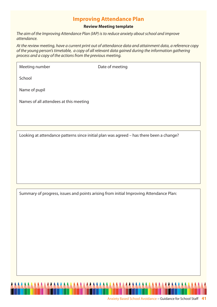#### **Improving Attendance Plan**

#### **Review Meeting template**

The aim of the Improving Attendance Plan (IAP) is to reduce anxiety about school and improve attendance.

At the review meeting, have a current print out of attendance data and attainment data, a reference copy of the young person's timetable, a copy of all relevant data gained during the information gathering process and a copy of the actions from the previous meeting.

Meeting number Date of meeting

School

Name of pupil

Names of all attendees at this meeting

Looking at attendance patterns since initial plan was agreed – has there been a change?

Summary of progress, issues and points arising from initial Improving Attendance Plan: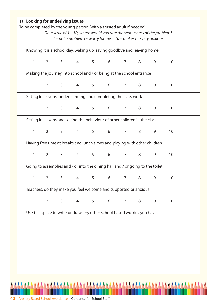| 1 – not a problem or worry for me 10 – makes me very anxious<br>Knowing it is a school day, waking up, saying goodbye and leaving home |                                |             |   |   |                                                                                |   |   |   |    |  |
|----------------------------------------------------------------------------------------------------------------------------------------|--------------------------------|-------------|---|---|--------------------------------------------------------------------------------|---|---|---|----|--|
| $1 \quad$                                                                                                                              |                                |             |   |   | 2 3 4 5 6 7 8                                                                  |   |   | 9 | 10 |  |
|                                                                                                                                        |                                |             |   |   | Making the journey into school and / or being at the school entrance           |   |   |   |    |  |
| $\mathbf{1}$                                                                                                                           | $2 \left( \frac{1}{2} \right)$ | $3^{\circ}$ |   |   | 4 5 6                                                                          | 7 | 8 | 9 | 10 |  |
|                                                                                                                                        |                                |             |   |   | Sitting in lessons, understanding and completing the class work                |   |   |   |    |  |
| $\mathbf{1}$                                                                                                                           | $2 \left( \frac{1}{2} \right)$ |             |   |   | 3 4 5 6 7                                                                      |   | 8 | 9 | 10 |  |
|                                                                                                                                        |                                |             |   |   | Sitting in lessons and seeing the behaviour of other children in the class     |   |   |   |    |  |
| $1 \quad \Box$                                                                                                                         |                                |             |   |   | 2 3 4 5 6 7 8                                                                  |   |   | 9 | 10 |  |
|                                                                                                                                        |                                |             |   |   | Having free time at breaks and lunch times and playing with other children     |   |   |   |    |  |
| $\mathbf{1}$                                                                                                                           | $2 \left( \frac{1}{2} \right)$ |             |   |   | 3 4 5 6 7 8                                                                    |   |   | 9 | 10 |  |
|                                                                                                                                        |                                |             |   |   | Going to assemblies and / or into the dining hall and / or going to the toilet |   |   |   |    |  |
|                                                                                                                                        |                                |             |   |   | 1 2 3 4 5 6 7 8 9                                                              |   |   |   | 10 |  |
|                                                                                                                                        |                                |             |   |   | Teachers: do they make you feel welcome and supported or anxious               |   |   |   |    |  |
| $\mathbf{1}$                                                                                                                           | $\overline{2}$                 | 3           | 4 | 5 | 6                                                                              | 7 | 8 | 9 | 10 |  |
|                                                                                                                                        |                                |             |   |   | Use this space to write or draw any other school based worries you have:       |   |   |   |    |  |
|                                                                                                                                        |                                |             |   |   |                                                                                |   |   |   |    |  |
|                                                                                                                                        |                                |             |   |   |                                                                                |   |   |   |    |  |
|                                                                                                                                        |                                |             |   |   |                                                                                |   |   |   |    |  |
|                                                                                                                                        |                                |             |   |   |                                                                                |   |   |   |    |  |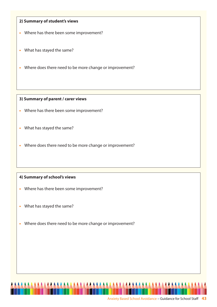#### **2) Summary of student's views**

- **•** Where has there been some improvement?
- **•** What has stayed the same?
- **•** Where does there need to be more change or improvement?

#### **3) Summary of parent / carer views**

- **•** Where has there been some improvement?
- **•** What has stayed the same?
- **•** Where does there need to be more change or improvement?

#### **4) Summary of school's views**

- **•** Where has there been some improvement?
- **•** What has stayed the same?
- **•** Where does there need to be more change or improvement?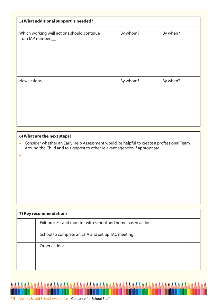| 5) What additional support is needed?                            |          |          |
|------------------------------------------------------------------|----------|----------|
| Which working well actions should continue<br>from IAP number __ | By whom? | By when? |
| New actions                                                      | By whom? | By when? |

#### **6) What are the next steps?**

**•** Consider whether an Early Help Assessment would be helpful to create a professional Team Around the Child and to signpost to other relevant agencies if appropriate.

|  | 7) Key recommendations                                      |  |  |  |  |  |  |  |
|--|-------------------------------------------------------------|--|--|--|--|--|--|--|
|  | Exit process and monitor with school and home based actions |  |  |  |  |  |  |  |
|  | School to complete an EHA and set up TAC meeting            |  |  |  |  |  |  |  |
|  | Other actions:                                              |  |  |  |  |  |  |  |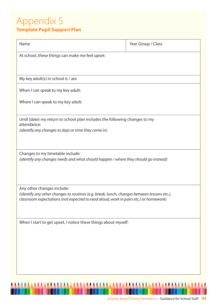### Appendix 5 **Template Pupil Support Plan**

| Name                                                                                                                                                                               | Year Group / Class |  |  |  |  |  |  |
|------------------------------------------------------------------------------------------------------------------------------------------------------------------------------------|--------------------|--|--|--|--|--|--|
| At school, these things can make me feel upset:                                                                                                                                    |                    |  |  |  |  |  |  |
|                                                                                                                                                                                    |                    |  |  |  |  |  |  |
| My key adult(s) in school is / are                                                                                                                                                 |                    |  |  |  |  |  |  |
| When I can speak to my key adult:                                                                                                                                                  |                    |  |  |  |  |  |  |
| Where I can speak to my key adult:                                                                                                                                                 |                    |  |  |  |  |  |  |
|                                                                                                                                                                                    |                    |  |  |  |  |  |  |
| Until [date} my return to school plan includes the following changes to my<br>attendance:                                                                                          |                    |  |  |  |  |  |  |
| (identify any changes to days or time they come in)                                                                                                                                |                    |  |  |  |  |  |  |
|                                                                                                                                                                                    |                    |  |  |  |  |  |  |
| Changes to my timetable include:<br>(identify any changes needs and what should happen / where they should go instead)                                                             |                    |  |  |  |  |  |  |
|                                                                                                                                                                                    |                    |  |  |  |  |  |  |
|                                                                                                                                                                                    |                    |  |  |  |  |  |  |
| Any other changes include:                                                                                                                                                         |                    |  |  |  |  |  |  |
| (identify any other changes to routines (e.g. break, lunch, changes between lessons etc.),<br>classroom expectations (not expected to read aloud, work in pairs etc.) or homework) |                    |  |  |  |  |  |  |
|                                                                                                                                                                                    |                    |  |  |  |  |  |  |
| When I start to get upset, I notice these things about myself:                                                                                                                     |                    |  |  |  |  |  |  |
|                                                                                                                                                                                    |                    |  |  |  |  |  |  |
|                                                                                                                                                                                    |                    |  |  |  |  |  |  |
|                                                                                                                                                                                    |                    |  |  |  |  |  |  |
|                                                                                                                                                                                    |                    |  |  |  |  |  |  |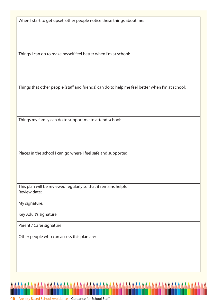When I start to get upset, other people notice these things about me:

Things I can do to make myself feel better when I'm at school:

Things that other people (staff and friends) can do to help me feel better when I'm at school:

Things my family can do to support me to attend school:

Places in the school I can go where I feel safe and supported:

This plan will be reviewed regularly so that it remains helpful. Review date:

My signature:

Key Adult's signature

Parent / Carer signature

Other people who can access this plan are: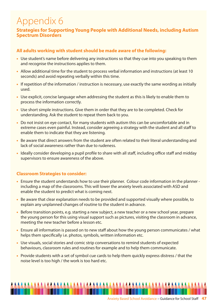# Appendix 6

#### **Strategies for Supporting Young People with Additional Needs, including Autism Spectrum Disorders**

#### **All adults working with student should be made aware of the following:**

- **•** Use student's name before delivering any instructions so that they cue into you speaking to them and recognise the instructions applies to them.
- **•** Allow additional time for the student to process verbal information and instructions (at least 10 seconds) and avoid repeating verbally within this time.
- If repetition of the information / instruction is necessary, use exactly the same wording as initially used.
- **•** Use explicit, concise language when addressing the student as this is likely to enable them to process the information correctly.
- **•** Use short simple instructions. Give them in order that they are to be completed. Check for understanding. Ask the student to repeat them back to you.
- **•** Do not insist on eye contact, for many students with autism this can be uncomfortable and in extreme cases even painful. Instead, consider agreeing a strategy with the student and all staff to enable them to indicate that they are listening.
- **•** Be aware that direct answers from the student are often related to their literal understanding and lack of social awareness rather than due to rudeness.
- **•** Ideally consider developing a pupil profile to share with all staff, including office staff and midday supervisors to ensure awareness of the above.

#### **Classroom Strategies to consider:**

- **•** Ensure the student understands how to use their planner. Colour code information in the planner including a map of the classrooms. This will lower the anxiety levels associated with ASD and enable the student to predict what is coming next.
- **•** Be aware that clear explanation needs to be provided and supported visually where possible, to explain any unplanned changes of routine to the student in advance.
- **•** Before transition points, e.g. starting a new subject, a new teacher or a new school year, prepare the young person for this using visual support such as pictures, visiting the classroom in advance, meeting the new teacher before a lesson etc.
- **•** Ensure all information is passed on to new staff about how the young person communicates / what helps them specifically i.e. photos, symbols, written information etc.
- **•** Use visuals, social stories and comic strip conversations to remind students of expected behaviours, classroom rules and routines for example and to help them communicate.
- **•** Provide students with a set of symbol cue cards to help them quickly express distress / that the noise level is too high / the work is too hard etc.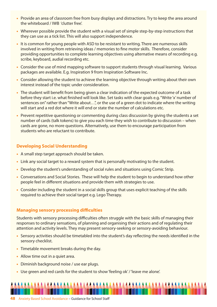- Provide an area of classroom free from busy displays and distractions. Try to keep the area around the whiteboard / IWB 'clutter free'.
- Wherever possible provide the student with a visual set of simple step-by-step instructions that they can use as a tick list. This will also support independence.
- It is common for young people with ASD to be resistant to writing. There are numerous skills involved in writing from retrieving ideas / memories to fine motor skills. Therefore, consider providing opportunities to complete learning objectives using alternative means of recording e.g. scribe, keyboard, audial recording etc.
- **•** Consider the use of mind mapping software to support students through visual learning. Various packages are available. E.g. Inspiration 9 from Inspiration Software Inc.
- **•** Consider allowing the student to achieve the learning objective through writing about their own interest instead of the topic under consideration.
- **•** The student will benefit from being given a clear indication of the expected outcome of a task before they start i.e. what finished will look like. Set tasks with clear goals e.g. "Write 'x' number of sentences on" rather than "Write about…", or the use of a green dot to indicate where the writing will start and a red dot where it will end or state the number of calculations etc.
- **•** Prevent repetitive questioning or commenting during class discussion by giving the students a set number of cards (talk tokens) to give you each time they wish to contribute to discussion – when cards are gone, no more questions. Alternatively, use them to encourage participation from students who are reluctant to contribute.

#### **Developing Social Understanding**

- **•** A small step target approach should be taken.
- **•** Link any social target to a reward system that is personally motivating to the student.
- **•** Develop the student's understanding of social rules and situations using Comic Strip.
- **•** Conversations and Social Stories. These will help the student to begin to understand how other people feel in different situations and provide them with strategies to use.
- **•** Consider including the student in a social skills group that uses explicit teaching of the skills required to achieve their social target e.g. Lego Therapy.

#### **Managing sensory processing difficulties**

Students with sensory processing difficulties often struggle with the basic skills of managing their responses to ordinary sensations, of planning and organising their actions and of regulating their attention and activity levels. They may present sensory-seeking or sensory-avoiding behaviour.

- **•** Sensory activities should be timetabled into the student's day reflecting the needs identified in the sensory checklist.
- **•** Timetable movement breaks during the day.
- **•** Allow time out in a quiet area.
- **•** Diminish background noise / use ear plugs.
- **•** Use green and red cards for the student to show 'feeling ok' / 'leave me alone'.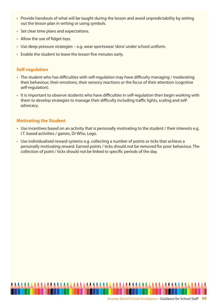- Provide handouts of what will be taught during the lesson and avoid unpredictability by setting out the lesson plan in writing or using symbols.
- **•** Set clear time plans and expectations.
- **•** Allow the use of fidget toys.
- **•** Use deep pressure strategies e.g. wear sportswear 'skins' under school uniform.
- **•** Enable the student to leave the lesson five minutes early.

#### **Self-regulation**

- **•** The student who has difficulties with self-regulation may have difficulty managing / moderating their behaviour, their emotions, their sensory reactions or the focus of their attention (cognitive self-regulation).
- **•** It is important to observe students who have difficulties in self-regulation then begin working with them to develop strategies to manage their difficulty including traffic lights, scaling and selfadvocacy.

#### **Motivating the Student**

- Use incentives based on an activity that is personally motivating to the student / their interests e.g. I.T. based activities / games, Dr Who, Lego.
- **•** Use individualised reward systems e.g. collecting a number of points or ticks that achieve a personally motivating reward. Earned points / ticks should not be removed for poor behaviour. The collection of point / ticks should not be linked to specific periods of the day.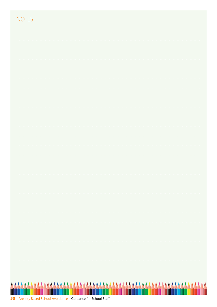#### **NOTES**

| $1$ VUILJ |                                                                |  |  |
|-----------|----------------------------------------------------------------|--|--|
|           |                                                                |  |  |
|           |                                                                |  |  |
|           |                                                                |  |  |
|           |                                                                |  |  |
|           |                                                                |  |  |
|           |                                                                |  |  |
|           |                                                                |  |  |
|           |                                                                |  |  |
|           |                                                                |  |  |
|           | <u> 1999 - Johann Johann Stein, fransk politiker (f. 1982)</u> |  |  |
|           |                                                                |  |  |
|           |                                                                |  |  |
|           |                                                                |  |  |
|           |                                                                |  |  |
|           |                                                                |  |  |
|           |                                                                |  |  |
|           |                                                                |  |  |
|           |                                                                |  |  |
|           |                                                                |  |  |
|           |                                                                |  |  |
|           |                                                                |  |  |
|           |                                                                |  |  |
|           |                                                                |  |  |
|           |                                                                |  |  |
|           |                                                                |  |  |
|           |                                                                |  |  |
|           |                                                                |  |  |
|           |                                                                |  |  |

Ī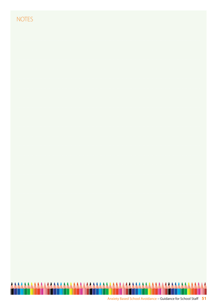| ÷ | ÷ |
|---|---|

| AAAAAA |  |  |  |  |  |  |
|--------|--|--|--|--|--|--|